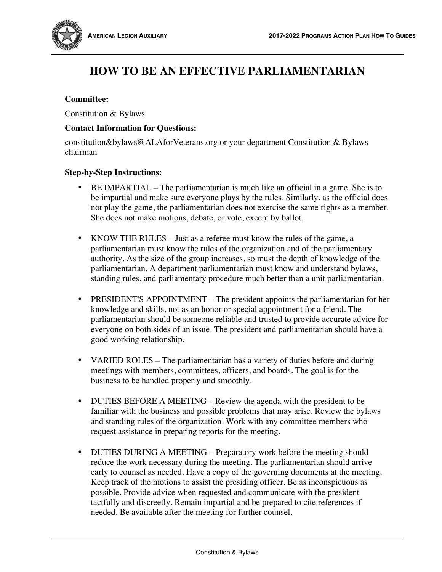

# **HOW TO BE AN EFFECTIVE PARLIAMENTARIAN**

## **Committee:**

Constitution & Bylaws

## **Contact Information for Questions:**

constitution&bylaws@ALAforVeterans.org or your department Constitution & Bylaws chairman

### **Step-by-Step Instructions:**

- BE IMPARTIAL The parliamentarian is much like an official in a game. She is to be impartial and make sure everyone plays by the rules. Similarly, as the official does not play the game, the parliamentarian does not exercise the same rights as a member. She does not make motions, debate, or vote, except by ballot.
- KNOW THE RULES Just as a referee must know the rules of the game, a parliamentarian must know the rules of the organization and of the parliamentary authority. As the size of the group increases, so must the depth of knowledge of the parliamentarian. A department parliamentarian must know and understand bylaws, standing rules, and parliamentary procedure much better than a unit parliamentarian.
- PRESIDENT'S APPOINTMENT The president appoints the parliamentarian for her knowledge and skills, not as an honor or special appointment for a friend. The parliamentarian should be someone reliable and trusted to provide accurate advice for everyone on both sides of an issue. The president and parliamentarian should have a good working relationship.
- VARIED ROLES The parliamentarian has a variety of duties before and during meetings with members, committees, officers, and boards. The goal is for the business to be handled properly and smoothly.
- DUTIES BEFORE A MEETING Review the agenda with the president to be familiar with the business and possible problems that may arise. Review the bylaws and standing rules of the organization. Work with any committee members who request assistance in preparing reports for the meeting.
- DUTIES DURING A MEETING Preparatory work before the meeting should reduce the work necessary during the meeting. The parliamentarian should arrive early to counsel as needed. Have a copy of the governing documents at the meeting. Keep track of the motions to assist the presiding officer. Be as inconspicuous as possible. Provide advice when requested and communicate with the president tactfully and discreetly. Remain impartial and be prepared to cite references if needed. Be available after the meeting for further counsel.